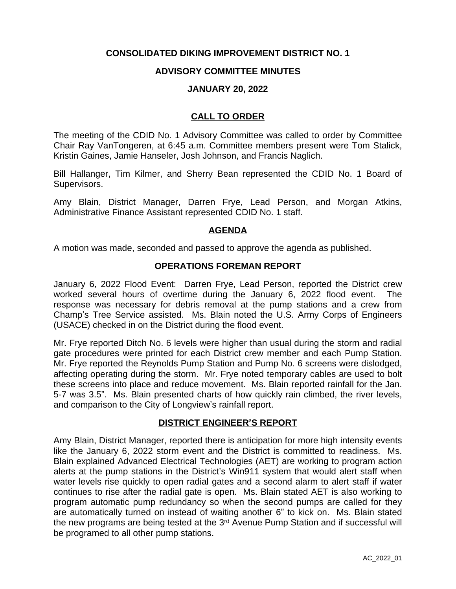# **CONSOLIDATED DIKING IMPROVEMENT DISTRICT NO. 1**

### **ADVISORY COMMITTEE MINUTES**

#### **JANUARY 20, 2022**

# **CALL TO ORDER**

The meeting of the CDID No. 1 Advisory Committee was called to order by Committee Chair Ray VanTongeren, at 6:45 a.m. Committee members present were Tom Stalick, Kristin Gaines, Jamie Hanseler, Josh Johnson, and Francis Naglich.

Bill Hallanger, Tim Kilmer, and Sherry Bean represented the CDID No. 1 Board of Supervisors.

Amy Blain, District Manager, Darren Frye, Lead Person, and Morgan Atkins, Administrative Finance Assistant represented CDID No. 1 staff.

#### **AGENDA**

A motion was made, seconded and passed to approve the agenda as published.

### **OPERATIONS FOREMAN REPORT**

January 6, 2022 Flood Event: Darren Frye, Lead Person, reported the District crew worked several hours of overtime during the January 6, 2022 flood event. The response was necessary for debris removal at the pump stations and a crew from Champ's Tree Service assisted. Ms. Blain noted the U.S. Army Corps of Engineers (USACE) checked in on the District during the flood event.

Mr. Frye reported Ditch No. 6 levels were higher than usual during the storm and radial gate procedures were printed for each District crew member and each Pump Station. Mr. Frye reported the Reynolds Pump Station and Pump No. 6 screens were dislodged, affecting operating during the storm. Mr. Frye noted temporary cables are used to bolt these screens into place and reduce movement. Ms. Blain reported rainfall for the Jan. 5-7 was 3.5". Ms. Blain presented charts of how quickly rain climbed, the river levels, and comparison to the City of Longview's rainfall report.

#### **DISTRICT ENGINEER'S REPORT**

Amy Blain, District Manager, reported there is anticipation for more high intensity events like the January 6, 2022 storm event and the District is committed to readiness. Ms. Blain explained Advanced Electrical Technologies (AET) are working to program action alerts at the pump stations in the District's Win911 system that would alert staff when water levels rise quickly to open radial gates and a second alarm to alert staff if water continues to rise after the radial gate is open. Ms. Blain stated AET is also working to program automatic pump redundancy so when the second pumps are called for they are automatically turned on instead of waiting another 6" to kick on. Ms. Blain stated the new programs are being tested at the 3<sup>rd</sup> Avenue Pump Station and if successful will be programed to all other pump stations.